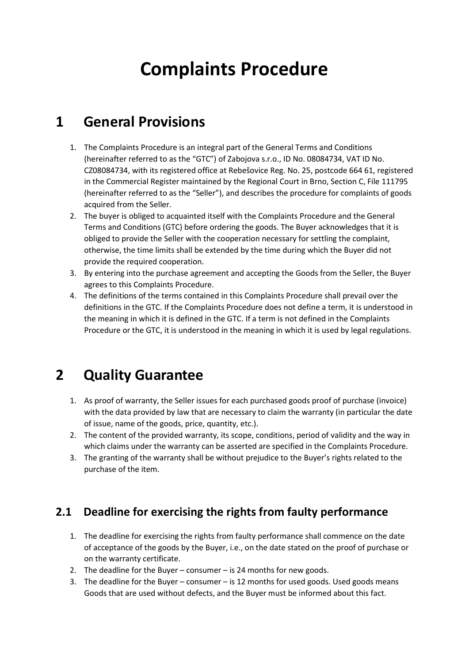# Complaints Procedure

## 1 General Provisions

- 1. The Complaints Procedure is an integral part of the General Terms and Conditions (hereinafter referred to as the "GTC") of Zabojova s.r.o., ID No. 08084734, VAT ID No. CZ08084734, with its registered office at Rebešovice Reg. No. 25, postcode 664 61, registered in the Commercial Register maintained by the Regional Court in Brno, Section C, File 111795 (hereinafter referred to as the "Seller"), and describes the procedure for complaints of goods acquired from the Seller.
- 2. The buyer is obliged to acquainted itself with the Complaints Procedure and the General Terms and Conditions (GTC) before ordering the goods. The Buyer acknowledges that it is obliged to provide the Seller with the cooperation necessary for settling the complaint, otherwise, the time limits shall be extended by the time during which the Buyer did not provide the required cooperation.
- 3. By entering into the purchase agreement and accepting the Goods from the Seller, the Buyer agrees to this Complaints Procedure.
- 4. The definitions of the terms contained in this Complaints Procedure shall prevail over the definitions in the GTC. If the Complaints Procedure does not define a term, it is understood in the meaning in which it is defined in the GTC. If a term is not defined in the Complaints Procedure or the GTC, it is understood in the meaning in which it is used by legal regulations.

# 2 Quality Guarantee

- 1. As proof of warranty, the Seller issues for each purchased goods proof of purchase (invoice) with the data provided by law that are necessary to claim the warranty (in particular the date of issue, name of the goods, price, quantity, etc.).
- 2. The content of the provided warranty, its scope, conditions, period of validity and the way in which claims under the warranty can be asserted are specified in the Complaints Procedure.
- 3. The granting of the warranty shall be without prejudice to the Buyer's rights related to the purchase of the item.

#### 2.1 Deadline for exercising the rights from faulty performance

- 1. The deadline for exercising the rights from faulty performance shall commence on the date of acceptance of the goods by the Buyer, i.e., on the date stated on the proof of purchase or on the warranty certificate.
- 2. The deadline for the Buyer consumer is 24 months for new goods.
- 3. The deadline for the Buyer consumer is 12 months for used goods. Used goods means Goods that are used without defects, and the Buyer must be informed about this fact.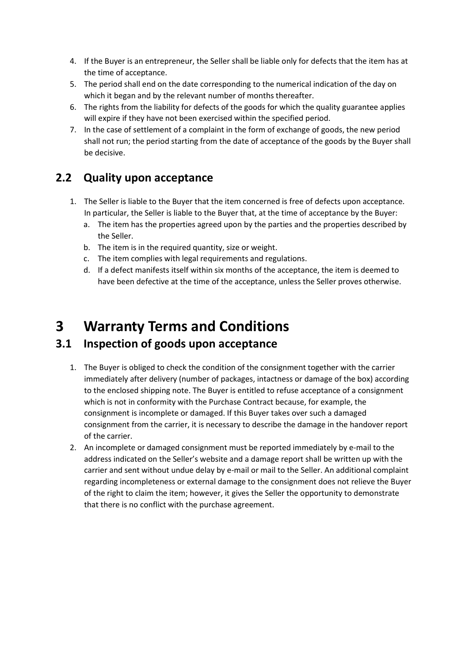- 4. If the Buyer is an entrepreneur, the Seller shall be liable only for defects that the item has at the time of acceptance.
- 5. The period shall end on the date corresponding to the numerical indication of the day on which it began and by the relevant number of months thereafter.
- 6. The rights from the liability for defects of the goods for which the quality guarantee applies will expire if they have not been exercised within the specified period.
- 7. In the case of settlement of a complaint in the form of exchange of goods, the new period shall not run; the period starting from the date of acceptance of the goods by the Buyer shall be decisive.

### 2.2 Quality upon acceptance

- 1. The Seller is liable to the Buyer that the item concerned is free of defects upon acceptance. In particular, the Seller is liable to the Buyer that, at the time of acceptance by the Buyer:
	- a. The item has the properties agreed upon by the parties and the properties described by the Seller.
	- b. The item is in the required quantity, size or weight.
	- c. The item complies with legal requirements and regulations.
	- d. If a defect manifests itself within six months of the acceptance, the item is deemed to have been defective at the time of the acceptance, unless the Seller proves otherwise.

### 3 Warranty Terms and Conditions

#### 3.1 Inspection of goods upon acceptance

- 1. The Buyer is obliged to check the condition of the consignment together with the carrier immediately after delivery (number of packages, intactness or damage of the box) according to the enclosed shipping note. The Buyer is entitled to refuse acceptance of a consignment which is not in conformity with the Purchase Contract because, for example, the consignment is incomplete or damaged. If this Buyer takes over such a damaged consignment from the carrier, it is necessary to describe the damage in the handover report of the carrier.
- 2. An incomplete or damaged consignment must be reported immediately by e-mail to the address indicated on the Seller's website and a damage report shall be written up with the carrier and sent without undue delay by e-mail or mail to the Seller. An additional complaint regarding incompleteness or external damage to the consignment does not relieve the Buyer of the right to claim the item; however, it gives the Seller the opportunity to demonstrate that there is no conflict with the purchase agreement.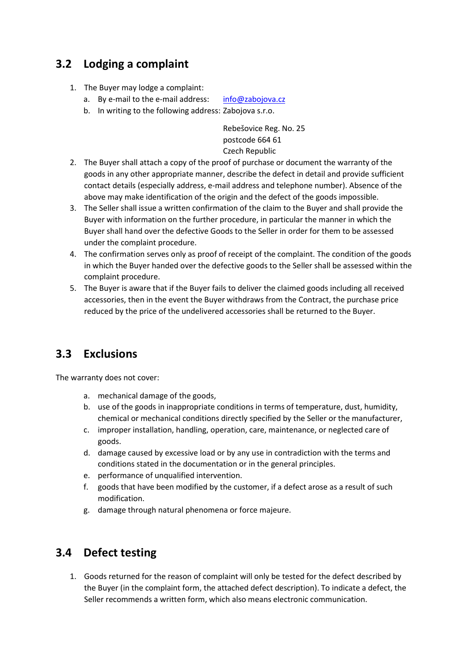### 3.2 Lodging a complaint

- 1. The Buyer may lodge a complaint:
	- a. By e-mail to the e-mail address: info@zabojova.cz
	- b. In writing to the following address: Zabojova s.r.o.

Rebešovice Reg. No. 25 postcode 664 61 Czech Republic

- 2. The Buyer shall attach a copy of the proof of purchase or document the warranty of the goods in any other appropriate manner, describe the defect in detail and provide sufficient contact details (especially address, e-mail address and telephone number). Absence of the above may make identification of the origin and the defect of the goods impossible.
- 3. The Seller shall issue a written confirmation of the claim to the Buyer and shall provide the Buyer with information on the further procedure, in particular the manner in which the Buyer shall hand over the defective Goods to the Seller in order for them to be assessed under the complaint procedure.
- 4. The confirmation serves only as proof of receipt of the complaint. The condition of the goods in which the Buyer handed over the defective goods to the Seller shall be assessed within the complaint procedure.
- 5. The Buyer is aware that if the Buyer fails to deliver the claimed goods including all received accessories, then in the event the Buyer withdraws from the Contract, the purchase price reduced by the price of the undelivered accessories shall be returned to the Buyer.

#### 3.3 Exclusions

The warranty does not cover:

- a. mechanical damage of the goods,
- b. use of the goods in inappropriate conditions in terms of temperature, dust, humidity, chemical or mechanical conditions directly specified by the Seller or the manufacturer,
- c. improper installation, handling, operation, care, maintenance, or neglected care of goods.
- d. damage caused by excessive load or by any use in contradiction with the terms and conditions stated in the documentation or in the general principles.
- e. performance of unqualified intervention.
- f. goods that have been modified by the customer, if a defect arose as a result of such modification.
- g. damage through natural phenomena or force majeure.

### 3.4 Defect testing

1. Goods returned for the reason of complaint will only be tested for the defect described by the Buyer (in the complaint form, the attached defect description). To indicate a defect, the Seller recommends a written form, which also means electronic communication.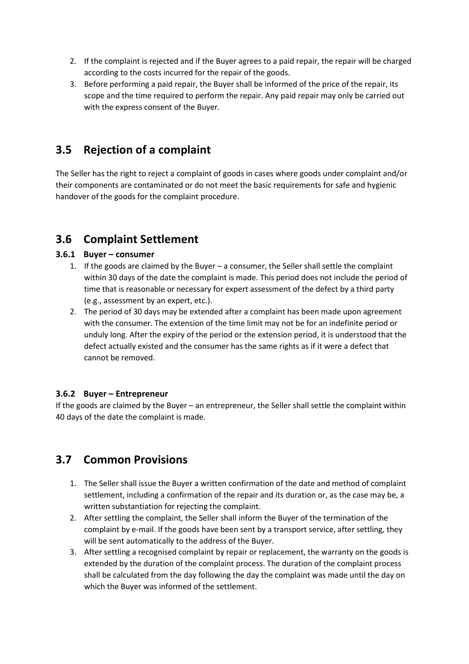- 2. If the complaint is rejected and if the Buyer agrees to a paid repair, the repair will be charged according to the costs incurred for the repair of the goods.
- 3. Before performing a paid repair, the Buyer shall be informed of the price of the repair, its scope and the time required to perform the repair. Any paid repair may only be carried out with the express consent of the Buyer.

#### 3.5 Rejection of a complaint

The Seller has the right to reject a complaint of goods in cases where goods under complaint and/or their components are contaminated or do not meet the basic requirements for safe and hygienic handover of the goods for the complaint procedure.

#### 3.6 Complaint Settlement

#### 3.6.1 Buyer – consumer

- 1. If the goods are claimed by the Buyer a consumer, the Seller shall settle the complaint within 30 days of the date the complaint is made. This period does not include the period of time that is reasonable or necessary for expert assessment of the defect by a third party (e.g., assessment by an expert, etc.).
- 2. The period of 30 days may be extended after a complaint has been made upon agreement with the consumer. The extension of the time limit may not be for an indefinite period or unduly long. After the expiry of the period or the extension period, it is understood that the defect actually existed and the consumer has the same rights as if it were a defect that cannot be removed.

#### 3.6.2 Buyer – Entrepreneur

If the goods are claimed by the Buyer – an entrepreneur, the Seller shall settle the complaint within 40 days of the date the complaint is made.

#### 3.7 Common Provisions

- 1. The Seller shall issue the Buyer a written confirmation of the date and method of complaint settlement, including a confirmation of the repair and its duration or, as the case may be, a written substantiation for rejecting the complaint.
- 2. After settling the complaint, the Seller shall inform the Buyer of the termination of the complaint by e-mail. If the goods have been sent by a transport service, after settling, they will be sent automatically to the address of the Buyer.
- 3. After settling a recognised complaint by repair or replacement, the warranty on the goods is extended by the duration of the complaint process. The duration of the complaint process shall be calculated from the day following the day the complaint was made until the day on which the Buyer was informed of the settlement.